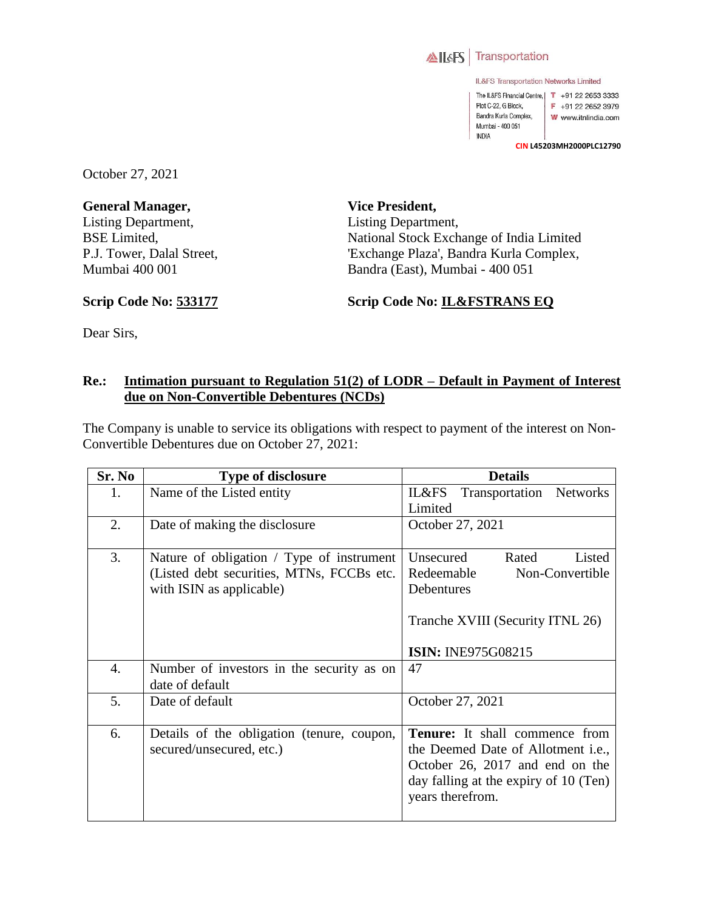

IL&FS Transportation Networks Limited

The IL&FS Financial Centre, | T +91 22 2653 3333 Plot C-22, G Block, F +91 22 2652 3979 Bandra Kurla Complex, W www.itnlindia.com Mumbai - 400 051 INDIA

**CIN L45203MH2000PLC12790**

October 27, 2021

**General Manager,**  Listing Department, BSE Limited, P.J. Tower, Dalal Street, Mumbai 400 001

**Vice President,**  Listing Department, National Stock Exchange of India Limited 'Exchange Plaza', Bandra Kurla Complex, Bandra (East), Mumbai - 400 051

**Scrip Code No: 533177**

**Scrip Code No: IL&FSTRANS EQ**

Dear Sirs,

## **Re.: Intimation pursuant to Regulation 51(2) of LODR – Default in Payment of Interest due on Non-Convertible Debentures (NCDs)**

The Company is unable to service its obligations with respect to payment of the interest on Non-Convertible Debentures due on October 27, 2021:

| Sr. No | <b>Type of disclosure</b>                  | <b>Details</b>                             |
|--------|--------------------------------------------|--------------------------------------------|
| 1.     | Name of the Listed entity                  | Transportation Networks<br>IL&FS           |
|        |                                            | Limited                                    |
| 2.     | Date of making the disclosure              | October 27, 2021                           |
|        |                                            |                                            |
| 3.     | Nature of obligation / Type of instrument  | Unsecured<br>Rated<br>Listed               |
|        | (Listed debt securities, MTNs, FCCBs etc.  | Redeemable<br>Non-Convertible              |
|        | with ISIN as applicable)                   | Debentures                                 |
|        |                                            |                                            |
|        |                                            | Tranche XVIII (Security ITNL 26)           |
|        |                                            |                                            |
|        |                                            | <b>ISIN: INE975G08215</b>                  |
| 4.     | Number of investors in the security as on  | 47                                         |
|        | date of default                            |                                            |
| 5.     | Date of default                            | October 27, 2021                           |
|        |                                            |                                            |
| 6.     | Details of the obligation (tenure, coupon, | <b>Tenure:</b> It shall commence from      |
|        | secured/unsecured, etc.)                   | the Deemed Date of Allotment <i>i.e.</i> , |
|        |                                            | October 26, 2017 and end on the            |
|        |                                            | day falling at the expiry of 10 (Ten)      |
|        |                                            | years therefrom.                           |
|        |                                            |                                            |